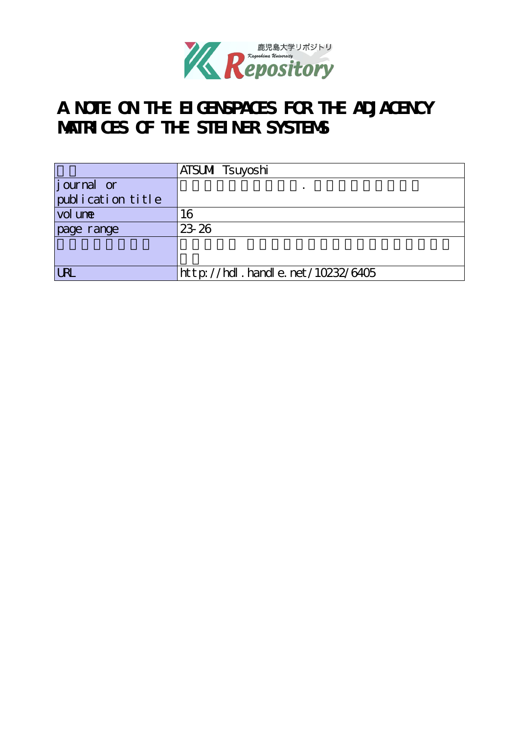

# **A NOTE ON THE EIGENSPACES FOR THE ADJACENCY MATRICES OF THE STEINER SYSTEMS**

|                               | ATSUMI Tsuyoshi                  |
|-------------------------------|----------------------------------|
| journal or                    |                                  |
| $\mathrm{publ}$ ication title |                                  |
| vol une                       | 16                               |
| page range                    | 23 26                            |
|                               |                                  |
|                               |                                  |
| <b>URI</b>                    | http://hdl.handle.net/10232/6405 |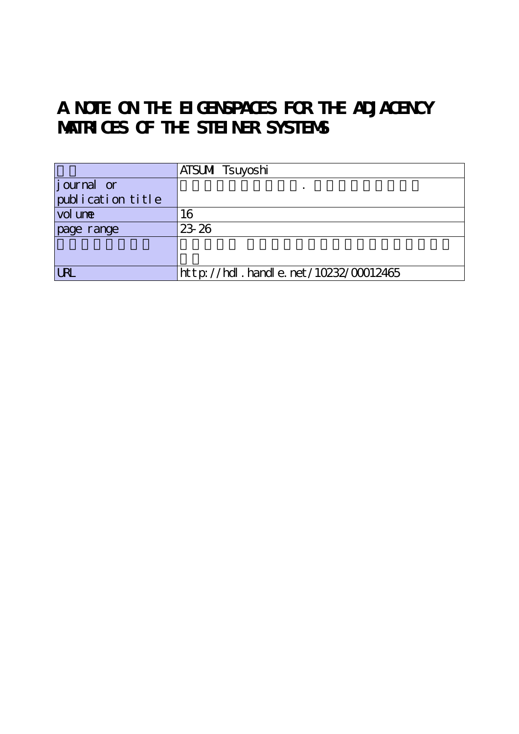# **A NOTE ON THE EIGENSPACES FOR THE ADJACENCY MATRICES OF THE STEINER SYSTEMS**

|                               | ATSUMI Tsuyoshi                           |
|-------------------------------|-------------------------------------------|
| journal or                    |                                           |
| $\mathrm{publ}$ ication title |                                           |
| vol une                       | 16                                        |
| page range                    | 23 26                                     |
|                               |                                           |
|                               |                                           |
| <b>LRL</b>                    | $ht$ p: //hdl. handle. net/10232/00012465 |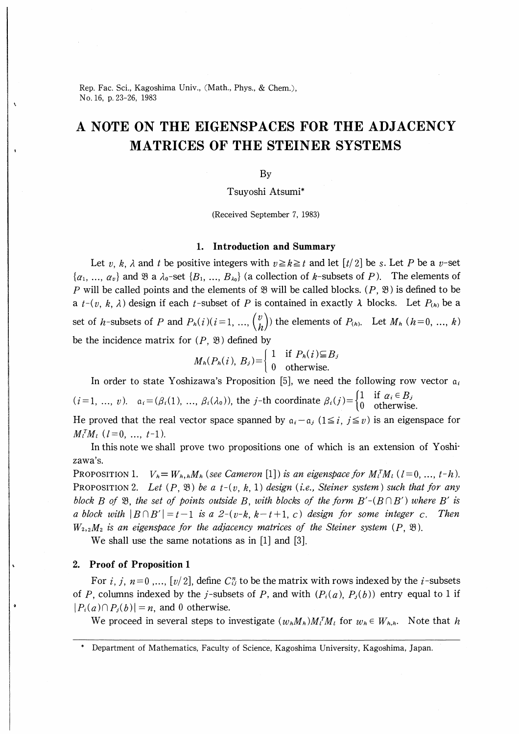Rep. Fac. Sci., Kagoshima Univ., (Math., Phys., & Chem.), No.16, p.23-26, 1983

# A NOTE ON THE EIGENSPACES FOR THE ADJACENCY MATRICES OF THE STEINER SYSTEMS

### By

# Tsuyoshi Atsumi\*

(Received September 7, 1983)

### 1. Introduction and Summary

Let v, k,  $\lambda$  and t be positive integers with  $v \ge k \ge t$  and let  $\lceil t/2 \rceil$  be s. Let P be a v-set  $\{\alpha_1, ..., \alpha_v\}$  and  $\Re$  a  $\lambda_0$ -set  $\{B_1, ..., B_{\lambda_0}\}$  (a collection of k-subsets of P). The elements of P will be called points and the elements of  $\mathcal{B}$  will be called blocks. (P,  $\mathcal{B}$ ) is defined to be a  $t-(v, k, \lambda)$  design if each  $t$ -subset of P is contained in exactly  $\lambda$  blocks. Let  $P_{(h)}$  be a set of h-subsets of P and  $P_h(i)(i=1, ..., {v \choose h})$  the elements of  $P_{(h)}$ . Let  $M_h$   $(h=0, ..., k)$ be the incidence matrix for  $(P, \mathcal{B})$  defined by

$$
M_h(P_h(i), B_j) = \begin{cases} 1 & \text{if } P_h(i) \subseteq B_j \\ 0 & \text{otherwise.} \end{cases}
$$

In order to state Yoshizawa's Proposition [5], we need the following row vector  $a_i$  $(i=1, ..., v)$ .  $a_i = (\beta_i(1), ..., \beta_i(\lambda_0))$ , the j-th coordinate  $\beta_i(j) = \begin{cases} 1 \\ 0 \end{cases}$ 1 if  $\alpha_i \in B_j$ otherwise. He proved that the real vector space spanned by  $a_i - a_j$  ( $1 \leq i, j \leq v$ ) is an eigenspace for

 $M_l^T M_l$  ( $l=0, ..., t-1$ ).

In this note we shall prove two propositions one of which is an extension of Yoshizawa's.

PROPOSITION 1.  $V_h = W_h$ , M<sub>h</sub> (see Cameron [1]) is an eigenspace for  $M_l^T M_l$  ( $l=0,\ldots, t-h$ ). PROPOSITION 2. Let  $(P, \mathfrak{B})$  be a  $t-(v, k, 1)$  design (i.e., Steiner system) such that for any block B of  $\mathfrak{B}$ , the set of points outside B, with blocks of the form  $B'$ - $(B \cap B')$  where B' is a block with  $|B \cap B'| = t-1$  is a 2-(v-k, k-t+1, c) design for some integer c. Then  $W_2, M_2$  is an eigenspace for the adjacency matrices of the Steiner system  $(P, \mathfrak{B})$ .

We shall use the same notations as in [1] and [3].

#### 2. Proof of Proposition 1

For *i*, *j*,  $n=0,..., [v/2]$ , define  $C_{ij}^n$  to be the matrix with rows indexed by the *i*-subsets of P, columns indexed by the j-subsets of P, and with  $(P_i(a), P_j(b))$  entry equal to 1 if  $|P_i(a) \cap P_i(b)| = n$ , and 0 otherwise.

We proceed in several steps to investigate  $(w_h M_h) M_i^T M_l$  for  $w_h \in W_{h,h}$ . Note that h

Department of Mathematics, Faculty of Science, Kagoshima University, Kagoshima, Japan.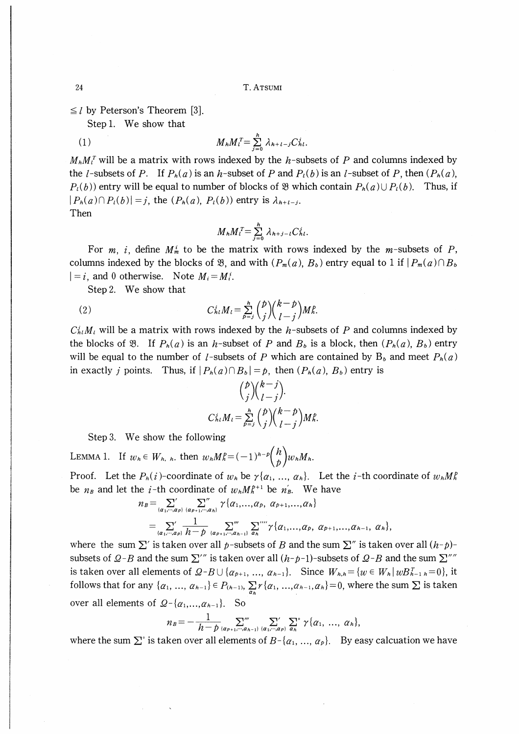$\leq l$  by Peterson's Theorem [3].

Step 1. We show that

$$
(1) \t M_h M_t^T = \sum_{j=0}^h \lambda_{h+t-j} C_{hl}^j.
$$

 $M_h M_l^T$  will be a matrix with rows indexed by the h-subsets of P and columns indexed by the *l*-subsets of P. If  $P_h(a)$  is an *h*-subset of P and  $P_l(b)$  is an *l*-subset of P, then  $(P_h(a))$ ,  $P_l(b)$  entry will be equal to number of blocks of  $\mathcal{B}$  which contain  $P_h(a) \cup P_l(b)$ . Thus, if  $|P_h(a) \cap P_l(b)| = j$ , the  $(P_h(a), P_l(b))$  entry is  $\lambda_{h+l-j}$ . Then

$$
M_h M_l^T = \sum_{j=0}^h \lambda_{h+j-l} C_{h\ell}^j.
$$

For *m*, *i*, define  $M_m^i$  to be the matrix with rows indexed by the *m*-subsets of *P*, columns indexed by the blocks of  $\mathfrak{B}$ , and with  $(P_m(a), B_b)$  entry equal to 1 if  $|P_m(a) \cap B_b|$  $|=i$ , and 0 otherwise. Note  $M_i = M_i^i$ .

Step 2. We show that

(2) 
$$
C_{hl}^{j}M_{l} = \sum_{p=1}^{h} {b \choose j} {k-p \choose l-j} M_{h}^{p}.
$$

 $C_h^i M_i$ , will be a matrix with rows indexed by the h-subsets of P and columns indexed by the blocks of  $\mathfrak{B}$ . If  $P_h(a)$  is an h-subset of P and  $B_b$  is a block, then  $(P_h(a), B_b)$  entry will be equal to the number of *l*-subsets of *P* which are contained by  $B_b$  and meet  $P_h(a)$ in exactly *j* points. Thus, if  $|P_h(a) \cap B_b| = p$ , then  $(P_h(a), B_b)$  entry is

$$
{p \choose j} {k-j \choose l-j}.
$$
  

$$
C_{h l}^{j} M_{l} = \sum_{p=j}^{h} {p \choose j} {k-p \choose l-j} M_{h}^{j}.
$$

Step 3. We show the following

LEMMA 1. If  $w_h \in W_h$ ,  $h$ , then  $w_h M_h^p = (-1)^{h-p} {h \choose p} w_h M_h$ .

Proof. Let the  $P_h(i)$ -coordinate of  $w_h$  be  $\gamma\{\alpha_1, ..., \alpha_h\}$ . Let the *i*-th coordinate of  $w_h M_h^p$ be  $n_B$  and let the *i*-th coordinate of  $w_h M_h^{p+1}$  be  $n'_B$ . We have

$$
n_B = \sum_{\{\alpha_1, \cdots, \alpha_p\}} \sum_{\{\alpha_{p+1}, \cdots, \alpha_h\}} \gamma \{\alpha_1, \ldots, \alpha_p, \alpha_{p+1}, \ldots, \alpha_h\}
$$
  
= 
$$
\sum_{\{\alpha_1, \cdots, \alpha_p\}} \frac{1}{h-p} \sum_{\{\alpha_{p+1}, \cdots, \alpha_{h-1}\}} \sum_{\alpha_h} \sum_{\alpha_h} \gamma \{\alpha_1, \ldots, \alpha_p, \alpha_{p+1}, \ldots, \alpha_{h-1}, \alpha_h\},
$$

where the sum  $\Sigma'$  is taken over all p-subsets of B and the sum  $\Sigma''$  is taken over all  $(h-p)$ subsets of  $Q-B$  and the sum  $\sum^{\prime\prime\prime}$  is taken over all  $(h-p-1)$ -subsets of  $Q-B$  and the sum  $\sum^{\prime\prime\prime\prime}$ is taken over all elements of  $Q-B\cup \{\alpha_{p+1},\ldots,\alpha_{h-1}\}$ . Since  $W_{h,h} = \{w \in W_h | wB_{h-1,h}^T = 0\}$ , it follows that for any  $\{\alpha_1, ..., \alpha_{n-1}\}\in P_{(n-1)}, \sum_{\alpha_k} r\{\alpha_1, ..., \alpha_{n-1}, \alpha_n\}=0$ , where the sum  $\Sigma$  is taken over all elements of  $Q - \{\alpha_1, ..., \alpha_{h-1}\}\$ . So

$$
n_B = -\frac{1}{h-p} \sum_{\{\alpha_{P+1},\dots,\alpha_{h-1}\}}^{\infty} \sum_{\{\alpha_1,\dots,\alpha_P\}}^{\infty} \sum_{\alpha_h}^{\infty} \gamma\{\alpha_1, \dots, \alpha_h\},
$$

where the sum  $\Sigma^{\circ}$  is taken over all elements of  $B - \{\alpha_1, ..., \alpha_p\}$ . By easy calcuation we have

24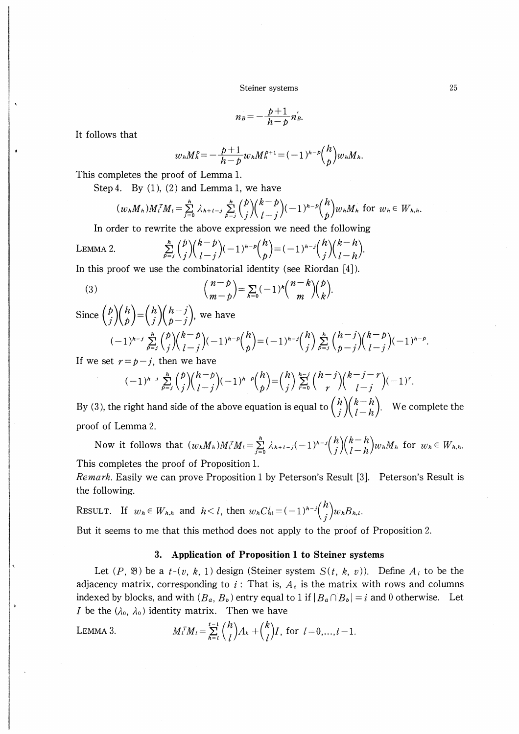Steiner systems

$$
n_B=-\frac{p+1}{h-p}n'_B.
$$

It follows that

$$
w_h M_h^p = -\frac{p+1}{h-p} w_h M_h^{p+1} = (-1)^{h-p} {h \choose p} w_h M_h.
$$

This completes the proof of Lemma 1.

Step 4. By  $(1)$ ,  $(2)$  and Lemma 1, we have

$$
(w_nM_n)M_t^T M_t = \sum_{j=0}^h \lambda_{h+t-j} \sum_{p=j}^h {p \choose j} {k-p \choose l-j} (-1)^{h-p} {h \choose p} w_n M_h \text{ for } w_h \in W_{h,h}
$$

In order to rewrite the above expression we need the following

LEMMA 2. 
$$
\sum_{p=j}^{h} {b \choose j} {k-p \choose l-j} (-1)^{h-p} {h \choose p} = (-1)^{h-j} {h \choose j} {k-h \choose l-h}.
$$

In this proof we use the combinatorial identity (see Riordan  $[4]$ ).

(3) 
$$
{n-p \choose m-p} = \sum_{k=0}^{\infty} (-1)^k {n-k \choose m} {p \choose k}.
$$

Since 
$$
\binom{p}{j}\binom{h}{p} = \binom{h}{j}\binom{h-j}{p-j}
$$
, we have  
\n $(-1)^{h-j}\sum_{p=j}^{h}\binom{p}{j}\binom{k-p}{l-j}(-1)^{h-p}\binom{h}{p} = (-1)^{h-j}\binom{h}{j}\sum_{p=j}^{h}\binom{h-j}{p-j}\binom{k-p}{l-j}(-1)^{h-p}$ .  
\nIf we get  $y = t$ , *i*, then we have

If we set  $r = p - j$ , then we have

$$
(-1)^{h-j}\sum_{p=j}^{h}\binom{p}{j}\binom{h-p}{l-j}(-1)^{h-p}\binom{h}{p}=\binom{h}{j}\sum_{r=0}^{h-j}\binom{h-j}{r}\binom{k-j-r}{l-j}(-1)^{r}.
$$

By (3), the right hand side of the above equation is equal to  $\binom{h}{j}\binom{k-h}{l-h}$ . We complete the proof of Lemma 2.

Now it follows that  $(w_nM_n)M_l^TM_l = \sum_{j=0}^h \lambda_{h+l-j}(-1)^{h-j} {h \choose j} {k-h \choose l-h} w_nM_h$  for  $w_h \in W_{h,h}$ . This completes the proof of Proposition 1.

*Remark.* Easily we can prove Proposition 1 by Peterson's Result [3]. Peterson's Result is the following.

RESULT. If  $w_h \in W_{h,h}$  and  $h < l$ , then  $w_h C_{hl}^i = (-1)^{h-j} {h \choose i} w_h B_{h,l}$ .

But it seems to me that this method does not apply to the proof of Proposition 2.

## 3. Application of Proposition 1 to Steiner systems

Let  $(P, \mathfrak{B})$  be a  $t-(v, k, 1)$  design (Steiner system  $S(t, k, v)$ ). Define  $A_i$  to be the adjacency matrix, corresponding to  $i$ : That is,  $A_i$  is the matrix with rows and columns indexed by blocks, and with  $(B_a, B_b)$  entry equal to 1 if  $|B_a \cap B_b| = i$  and 0 otherwise. Let *I* be the  $(\lambda_0, \lambda_0)$  identity matrix. Then we have

LEMMA 3. 
$$
M_l^T M_l = \sum_{h=l}^{t-1} {h \choose l} A_h + {k \choose l} I, \text{ for } l = 0,...,t-1.
$$

25